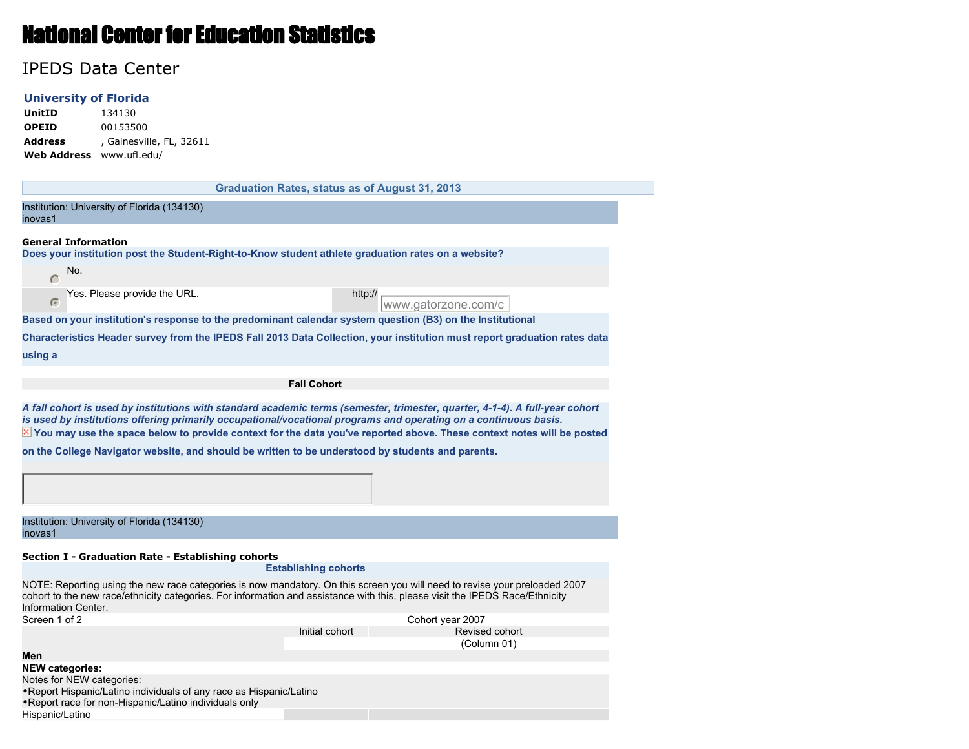# National Center for Education Statistics

# IPEDS Data Center

# **University of Florida**

**UnitID** 134130 **OPEID** 00153500 **Address** , Gainesville, FL, 32611 **Web Address** www.ufl.edu/

|                                                                                                                                                                                                                                                                                                                                                                                       |                             | <b>Graduation Rates, status as of August 31, 2013</b> |
|---------------------------------------------------------------------------------------------------------------------------------------------------------------------------------------------------------------------------------------------------------------------------------------------------------------------------------------------------------------------------------------|-----------------------------|-------------------------------------------------------|
| Institution: University of Florida (134130)<br>inovas1                                                                                                                                                                                                                                                                                                                                |                             |                                                       |
| <b>General Information</b>                                                                                                                                                                                                                                                                                                                                                            |                             |                                                       |
| Does your institution post the Student-Right-to-Know student athlete graduation rates on a website?                                                                                                                                                                                                                                                                                   |                             |                                                       |
| No.<br>$\subset$                                                                                                                                                                                                                                                                                                                                                                      |                             |                                                       |
| Yes. Please provide the URL.<br>൳                                                                                                                                                                                                                                                                                                                                                     |                             | http://<br>www.gatorzone.com/c                        |
| Based on your institution's response to the predominant calendar system question (B3) on the Institutional                                                                                                                                                                                                                                                                            |                             |                                                       |
| Characteristics Header survey from the IPEDS Fall 2013 Data Collection, your institution must report graduation rates data                                                                                                                                                                                                                                                            |                             |                                                       |
| using a                                                                                                                                                                                                                                                                                                                                                                               |                             |                                                       |
|                                                                                                                                                                                                                                                                                                                                                                                       | <b>Fall Cohort</b>          |                                                       |
|                                                                                                                                                                                                                                                                                                                                                                                       |                             |                                                       |
| A fall cohort is used by institutions with standard academic terms (semester, trimester, quarter, 4-1-4). A full-year cohort<br>is used by institutions offering primarily occupational/vocational programs and operating on a continuous basis.<br>$\boxtimes$ You may use the space below to provide context for the data you've reported above. These context notes will be posted |                             |                                                       |
| on the College Navigator website, and should be written to be understood by students and parents.                                                                                                                                                                                                                                                                                     |                             |                                                       |
|                                                                                                                                                                                                                                                                                                                                                                                       |                             |                                                       |
|                                                                                                                                                                                                                                                                                                                                                                                       |                             |                                                       |
| Institution: University of Florida (134130)<br>inovas1                                                                                                                                                                                                                                                                                                                                |                             |                                                       |
| Section I - Graduation Rate - Establishing cohorts                                                                                                                                                                                                                                                                                                                                    |                             |                                                       |
|                                                                                                                                                                                                                                                                                                                                                                                       | <b>Establishing cohorts</b> |                                                       |
| NOTE: Reporting using the new race categories is now mandatory. On this screen you will need to revise your preloaded 2007<br>cohort to the new race/ethnicity categories. For information and assistance with this, please visit the IPEDS Race/Ethnicity<br>Information Center.                                                                                                     |                             |                                                       |
| Screen 1 of 2                                                                                                                                                                                                                                                                                                                                                                         |                             | Cohort year 2007                                      |
|                                                                                                                                                                                                                                                                                                                                                                                       | Initial cohort              | Revised cohort                                        |
| Men                                                                                                                                                                                                                                                                                                                                                                                   |                             | (Column 01)                                           |
| <b>NEW categories:</b>                                                                                                                                                                                                                                                                                                                                                                |                             |                                                       |
| Notes for NEW categories:<br>. Report Hispanic/Latino individuals of any race as Hispanic/Latino                                                                                                                                                                                                                                                                                      |                             |                                                       |
| . Report race for non-Hispanic/Latino individuals only                                                                                                                                                                                                                                                                                                                                |                             |                                                       |
| Hispanic/Latino                                                                                                                                                                                                                                                                                                                                                                       |                             |                                                       |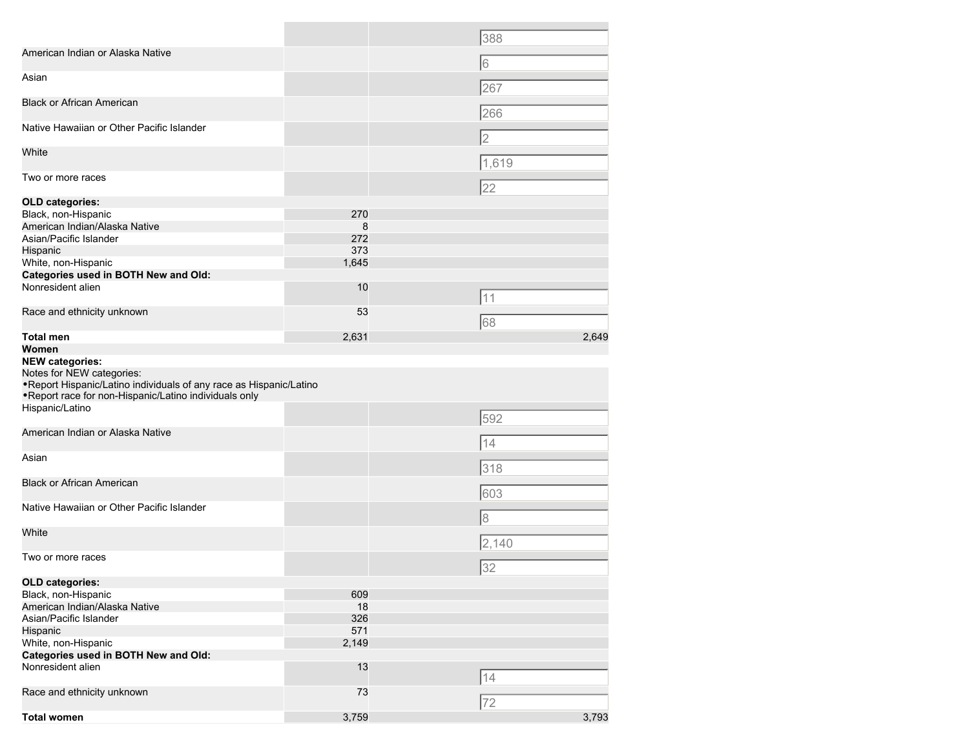|                                                                                                                                                            |       | 388            |
|------------------------------------------------------------------------------------------------------------------------------------------------------------|-------|----------------|
| American Indian or Alaska Native                                                                                                                           |       | 6              |
| Asian                                                                                                                                                      |       | 267            |
| <b>Black or African American</b>                                                                                                                           |       | 266            |
| Native Hawaiian or Other Pacific Islander                                                                                                                  |       |                |
| White                                                                                                                                                      |       | $\overline{c}$ |
| Two or more races                                                                                                                                          |       | 1,619          |
| OLD categories:                                                                                                                                            |       | 22             |
| Black, non-Hispanic                                                                                                                                        | 270   |                |
| American Indian/Alaska Native                                                                                                                              | 8     |                |
| Asian/Pacific Islander                                                                                                                                     | 272   |                |
|                                                                                                                                                            | 373   |                |
| Hispanic                                                                                                                                                   |       |                |
| White, non-Hispanic                                                                                                                                        | 1,645 |                |
| Categories used in BOTH New and Old:                                                                                                                       |       |                |
| Nonresident alien                                                                                                                                          | 10    | 11             |
| Race and ethnicity unknown                                                                                                                                 | 53    | 68             |
| Total men<br>Women                                                                                                                                         | 2,631 | 2,649          |
| <b>NEW categories:</b>                                                                                                                                     |       |                |
| Notes for NEW categories:<br>. Report Hispanic/Latino individuals of any race as Hispanic/Latino<br>. Report race for non-Hispanic/Latino individuals only |       |                |
| Hispanic/Latino                                                                                                                                            |       | 592            |
| American Indian or Alaska Native                                                                                                                           |       | 14             |
| Asian                                                                                                                                                      |       | 318            |
| <b>Black or African American</b>                                                                                                                           |       | 603            |
| Native Hawaiian or Other Pacific Islander                                                                                                                  |       | 8              |
| White                                                                                                                                                      |       | 2,140          |
| Two or more races                                                                                                                                          |       | 32             |
| OLD categories:                                                                                                                                            |       |                |
| Black, non-Hispanic                                                                                                                                        | 609   |                |
| American Indian/Alaska Native                                                                                                                              | 18    |                |
| Asian/Pacific Islander                                                                                                                                     | 326   |                |
| Hispanic                                                                                                                                                   | 571   |                |
|                                                                                                                                                            |       |                |
| White, non-Hispanic                                                                                                                                        | 2,149 |                |
| Categories used in BOTH New and Old:                                                                                                                       |       |                |
| Nonresident alien                                                                                                                                          | 13    | 14             |
| Race and ethnicity unknown                                                                                                                                 | 73    | 72             |
| <b>Total women</b>                                                                                                                                         | 3,759 | 3,793          |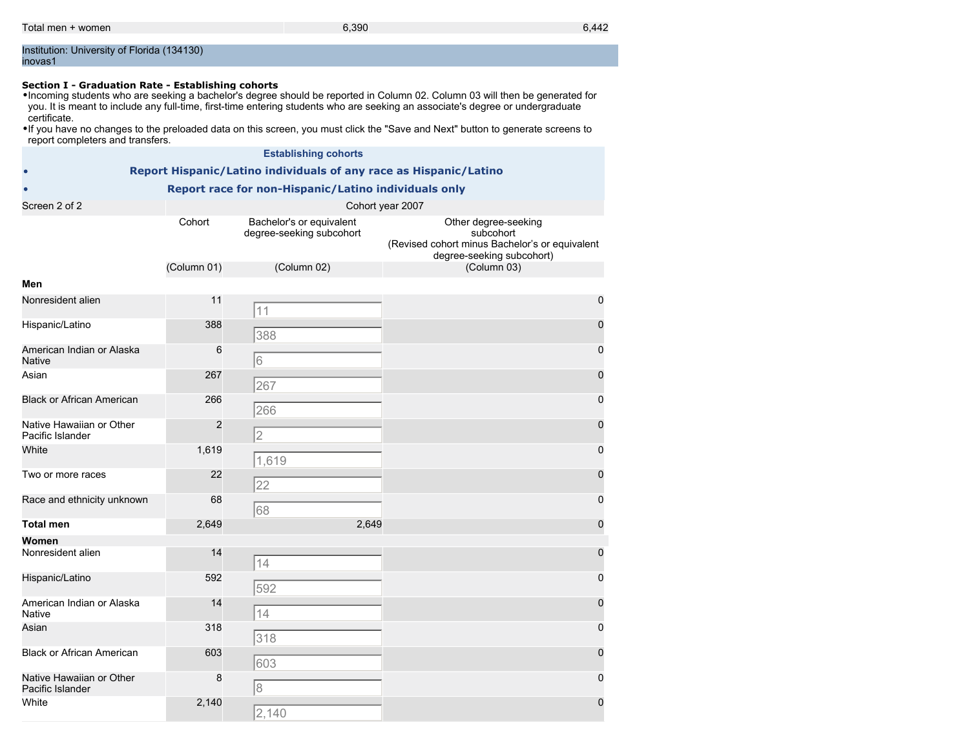### **Section I - Graduation Rate - Establishing cohorts**

•Incoming students who are seeking a bachelor's degree should be reported in Column 02. Column 03 will then be generated for you. It is meant to include any full-time, first-time entering students who are seeking an associate's degree or undergraduate certificate.

•If you have no changes to the preloaded data on this screen, you must click the "Save and Next" button to generate screens to report completers and transfers.

|                                              |                       | <b>Establishing cohorts</b>                                         |                                                                                                                                 |
|----------------------------------------------|-----------------------|---------------------------------------------------------------------|---------------------------------------------------------------------------------------------------------------------------------|
|                                              |                       | Report Hispanic/Latino individuals of any race as Hispanic/Latino   |                                                                                                                                 |
|                                              |                       | Report race for non-Hispanic/Latino individuals only                |                                                                                                                                 |
| Screen 2 of 2                                |                       |                                                                     | Cohort year 2007                                                                                                                |
|                                              | Cohort<br>(Column 01) | Bachelor's or equivalent<br>degree-seeking subcohort<br>(Column 02) | Other degree-seeking<br>subcohort<br>(Revised cohort minus Bachelor's or equivalent<br>degree-seeking subcohort)<br>(Column 03) |
| Men                                          |                       |                                                                     |                                                                                                                                 |
| Nonresident alien                            | 11                    |                                                                     | 0                                                                                                                               |
|                                              |                       | 11                                                                  |                                                                                                                                 |
| Hispanic/Latino                              | 388                   | 388                                                                 | 0                                                                                                                               |
| American Indian or Alaska<br><b>Native</b>   | 6                     | 16                                                                  | 0                                                                                                                               |
| Asian                                        | 267                   | 267                                                                 | $\pmb{0}$                                                                                                                       |
| <b>Black or African American</b>             | 266                   | 266                                                                 | 0                                                                                                                               |
| Native Hawaiian or Other<br>Pacific Islander | $\overline{2}$        | 2                                                                   | $\mathbf 0$                                                                                                                     |
| White                                        | 1,619                 | 1,619                                                               | 0                                                                                                                               |
| Two or more races                            | 22                    | 22                                                                  | 0                                                                                                                               |
| Race and ethnicity unknown                   | 68                    | 68                                                                  | 0                                                                                                                               |
| <b>Total men</b>                             | 2,649                 | 2.649                                                               | $\mathbf 0$                                                                                                                     |
| Women                                        |                       |                                                                     |                                                                                                                                 |
| Nonresident alien                            | 14                    | 14                                                                  | $\mathbf 0$                                                                                                                     |
| Hispanic/Latino                              | 592                   | 592                                                                 | 0                                                                                                                               |
| American Indian or Alaska<br><b>Native</b>   | 14                    | 14                                                                  | $\mathbf 0$                                                                                                                     |
| Asian                                        | 318                   | 318                                                                 | 0                                                                                                                               |
| <b>Black or African American</b>             | 603                   | 603                                                                 | $\mathsf 0$                                                                                                                     |
| Native Hawaiian or Other<br>Pacific Islander | 8                     | 18                                                                  | 0                                                                                                                               |
| White                                        | 2,140                 | [2, 140]                                                            | $\mathbf 0$                                                                                                                     |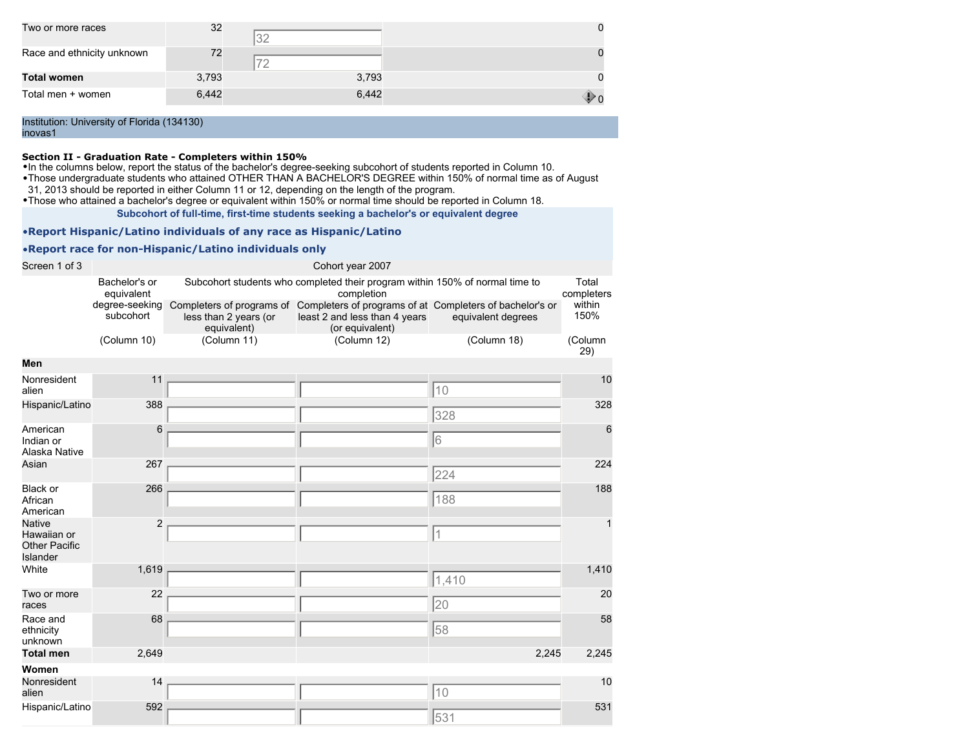| Two or more races          | 32    |       |  |
|----------------------------|-------|-------|--|
| Race and ethnicity unknown | 72    |       |  |
| <b>Total women</b>         | 3,793 | 3,793 |  |
| Total men + women          | 6,442 | 6,442 |  |

inovas1

### **Section II - Graduation Rate - Completers within 150%**

•In the columns below, report the status of the bachelor's degree-seeking subcohort of students reported in Column 10.

•Those undergraduate students who attained OTHER THAN A BACHELOR'S DEGREE within 150% of normal time as of August

31, 2013 should be reported in either Column 11 or 12, depending on the length of the program.

•Those who attained a bachelor's degree or equivalent within 150% or normal time should be reported in Column 18.

**Subcohort of full-time, first-time students seeking a bachelor's or equivalent degree**

# •**Report Hispanic/Latino individuals of any race as Hispanic/Latino**

# •**Report race for non-Hispanic/Latino individuals only**

| Screen 1 of 3                                                    |                             |                                                                   | Cohort year 2007                                                                                             |                    |                     |
|------------------------------------------------------------------|-----------------------------|-------------------------------------------------------------------|--------------------------------------------------------------------------------------------------------------|--------------------|---------------------|
|                                                                  | Bachelor's or<br>equivalent |                                                                   | Subcohort students who completed their program within 150% of normal time to<br>completion                   |                    | Total<br>completers |
|                                                                  | degree-seeking<br>subcohort | Completers of programs of<br>less than 2 years (or<br>equivalent) | Completers of programs of at Completers of bachelor's or<br>least 2 and less than 4 years<br>(or equivalent) | equivalent degrees | within<br>150%      |
|                                                                  | (Column 10)                 | (Column 11)                                                       | (Column 12)                                                                                                  | (Column 18)        | (Column<br>29)      |
| Men                                                              |                             |                                                                   |                                                                                                              |                    |                     |
| Nonresident<br>alien                                             | 11                          |                                                                   |                                                                                                              | 10                 | 10                  |
| Hispanic/Latino                                                  | 388                         |                                                                   |                                                                                                              | 328                | 328                 |
| American<br>Indian or<br>Alaska Native                           | 6                           |                                                                   |                                                                                                              | 16                 | 6                   |
| Asian                                                            | 267                         |                                                                   |                                                                                                              | 224                | 224                 |
| Black or<br>African<br>American                                  | 266                         |                                                                   |                                                                                                              | 188                | 188                 |
| <b>Native</b><br>Hawaiian or<br><b>Other Pacific</b><br>Islander | $\overline{c}$              |                                                                   |                                                                                                              | 11                 |                     |
| White                                                            | 1,619                       |                                                                   |                                                                                                              | 1,410              | 1,410               |
| Two or more<br>races                                             | 22                          |                                                                   |                                                                                                              | 20                 | 20                  |
| Race and<br>ethnicity<br>unknown                                 | 68                          |                                                                   |                                                                                                              | 58                 | 58                  |
| <b>Total men</b>                                                 | 2,649                       |                                                                   |                                                                                                              | 2,245              | 2,245               |
| Women                                                            |                             |                                                                   |                                                                                                              |                    |                     |
| Nonresident<br>alien                                             | 14                          |                                                                   |                                                                                                              | 10                 | 10                  |
| Hispanic/Latino                                                  | 592                         |                                                                   |                                                                                                              | 531                | 531                 |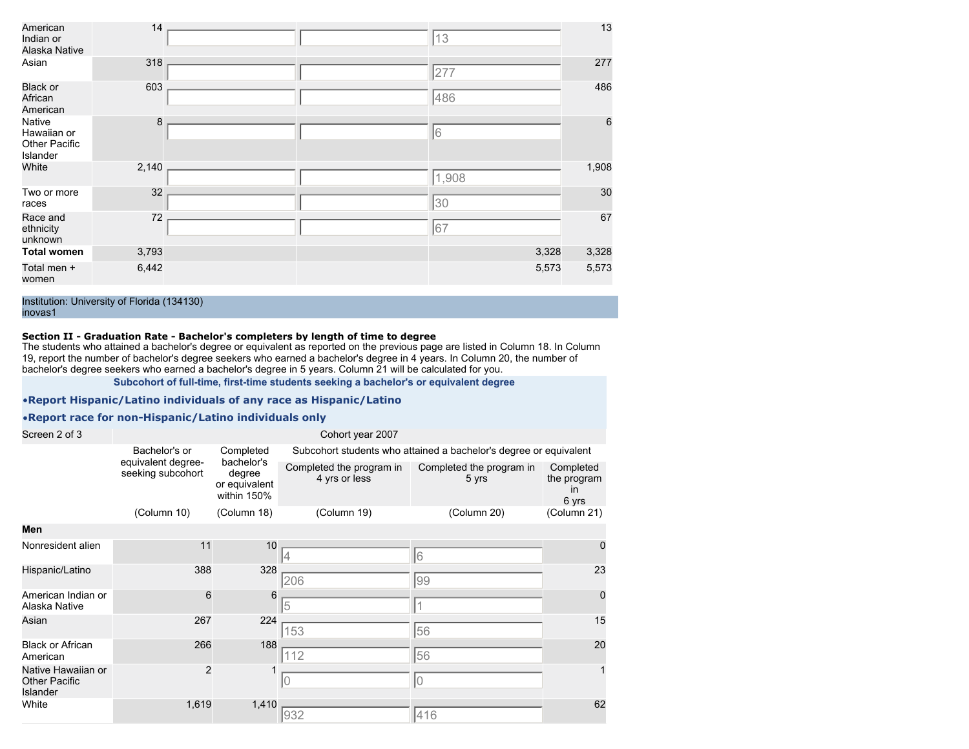| American<br>Indian or<br>Alaska Native             | 14    |  | 13    | 13              |
|----------------------------------------------------|-------|--|-------|-----------------|
| Asian                                              | 318   |  | 277   | 277             |
| <b>Black or</b><br>African<br>American             | 603   |  | 486   | 486             |
| Native<br>Hawaiian or<br>Other Pacific<br>Islander | 8     |  | 16    | $6\phantom{1}6$ |
| White                                              | 2,140 |  | 1,908 | 1,908           |
| Two or more<br>races                               | 32    |  | 30    | 30              |
| Race and<br>ethnicity<br>unknown                   | 72    |  | 67    | 67              |
| <b>Total women</b>                                 | 3,793 |  | 3,328 | 3,328           |
| Total men +<br>women                               | 6,442 |  | 5,573 | 5,573           |

## **Section II - Graduation Rate - Bachelor's completers by length of time to degree**

The students who attained a bachelor's degree or equivalent as reported on the previous page are listed in Column 18. In Column 19, report the number of bachelor's degree seekers who earned a bachelor's degree in 4 years. In Column 20, the number of bachelor's degree seekers who earned a bachelor's degree in 5 years. Column 21 will be calculated for you.

**Subcohort of full-time, first-time students seeking a bachelor's or equivalent degree**

#### •**Report Hispanic/Latino individuals of any race as Hispanic/Latino**

# •**Report race for non-Hispanic/Latino individuals only**

#### Screen 2 of 3 Cohort year 2007

|                                                        | Bachelor's or                           | Completed                                            | Subcohort students who attained a bachelor's degree or equivalent |                                   |                                                |  |  |
|--------------------------------------------------------|-----------------------------------------|------------------------------------------------------|-------------------------------------------------------------------|-----------------------------------|------------------------------------------------|--|--|
|                                                        | equivalent degree-<br>seeking subcohort | bachelor's<br>degree<br>or equivalent<br>within 150% | Completed the program in<br>4 yrs or less                         | Completed the program in<br>5 yrs | Completed<br>the program<br><i>in</i><br>6 yrs |  |  |
|                                                        | (Column 10)                             | (Column 18)                                          | (Column 19)                                                       | (Column 20)                       | (Column 21)                                    |  |  |
| Men                                                    |                                         |                                                      |                                                                   |                                   |                                                |  |  |
| Nonresident alien                                      | 11                                      | 10                                                   |                                                                   | 6                                 | $\mathbf 0$                                    |  |  |
| Hispanic/Latino                                        | 388                                     | 328                                                  | 206                                                               | 99                                | 23                                             |  |  |
| American Indian or<br>Alaska Native                    | 6                                       | 6                                                    | 5                                                                 |                                   | $\mathbf 0$                                    |  |  |
| Asian                                                  | 267                                     | 224                                                  | 153                                                               | 56                                | 15                                             |  |  |
| <b>Black or African</b><br>American                    | 266                                     | 188                                                  | 112                                                               | 56                                | 20                                             |  |  |
| Native Hawaiian or<br><b>Other Pacific</b><br>Islander | 2                                       |                                                      | 0                                                                 | 0                                 |                                                |  |  |
| White                                                  | 1,619                                   | 1,410                                                | 932                                                               | 416                               | 62                                             |  |  |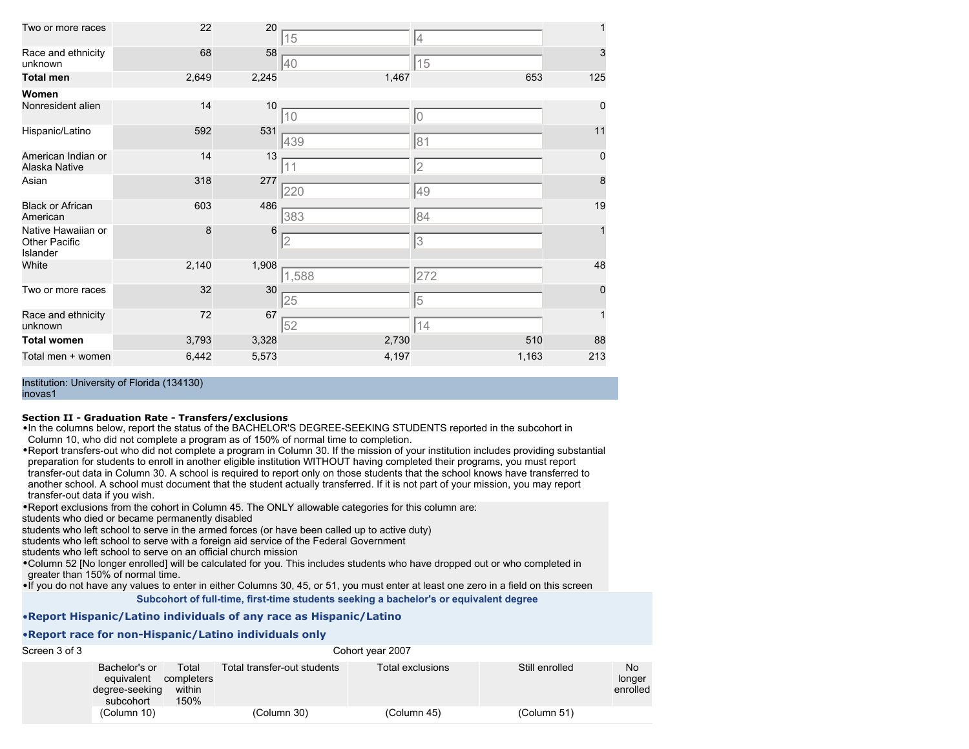| Two or more races                                      | 22    | 20    | 15             | 4     | 1        |
|--------------------------------------------------------|-------|-------|----------------|-------|----------|
| Race and ethnicity<br>unknown                          | 68    | 58    | 40             | 15    | 3        |
| <b>Total men</b>                                       | 2,649 | 2,245 | 1,467          | 653   | 125      |
| Women                                                  |       |       |                |       |          |
| Nonresident alien                                      | 14    | 10    | 10             | 10    | 0        |
| Hispanic/Latino                                        | 592   | 531   | 439            | 81    | 11       |
| American Indian or<br>Alaska Native                    | 14    | 13    | 11             | 2     | 0        |
| Asian                                                  | 318   | 277   | 220            | 49    | 8        |
| <b>Black or African</b><br>American                    | 603   | 486   | 383            | 84    | 19       |
| Native Hawaiian or<br><b>Other Pacific</b><br>Islander | 8     | 6     | $\overline{2}$ | 3     |          |
| White                                                  | 2,140 | 1,908 | 1,588          | 272   | 48       |
| Two or more races                                      | 32    | 30    | 25             | 5     | $\Omega$ |
| Race and ethnicity<br>unknown                          | 72    | 67    | 52             | 14    |          |
| <b>Total women</b>                                     | 3,793 | 3,328 | 2,730          | 510   | 88       |
| Total men + women                                      | 6,442 | 5,573 | 4,197          | 1,163 | 213      |

#### **Section II - Graduation Rate - Transfers/exclusions**

•In the columns below, report the status of the BACHELOR'S DEGREE-SEEKING STUDENTS reported in the subcohort in Column 10, who did not complete a program as of 150% of normal time to completion.

•Report transfers-out who did not complete a program in Column 30. If the mission of your institution includes providing substantial preparation for students to enroll in another eligible institution WITHOUT having completed their programs, you must report transfer-out data in Column 30. A school is required to report only on those students that the school knows have transferred to another school. A school must document that the student actually transferred. If it is not part of your mission, you may report transfer-out data if you wish.

•Report exclusions from the cohort in Column 45. The ONLY allowable categories for this column are: students who died or became permanently disabled

students who left school to serve in the armed forces (or have been called up to active duty)

students who left school to serve with a foreign aid service of the Federal Government

students who left school to serve on an official church mission

•Column 52 [No longer enrolled] will be calculated for you. This includes students who have dropped out or who completed in greater than 150% of normal time.

•If you do not have any values to enter in either Columns 30, 45, or 51, you must enter at least one zero in a field on this screen **Subcohort of full-time, first-time students seeking a bachelor's or equivalent degree**

### •**Report Hispanic/Latino individuals of any race as Hispanic/Latino**

#### •**Report race for non-Hispanic/Latino individuals only**

| Screen 3 of 3 | Cohort year 2007                                           |                                       |                             |                  |                |                          |  |  |
|---------------|------------------------------------------------------------|---------------------------------------|-----------------------------|------------------|----------------|--------------------------|--|--|
|               | Bachelor's or<br>equivalent<br>degree-seeking<br>subcohort | Total<br>completers<br>within<br>150% | Total transfer-out students | Total exclusions | Still enrolled | No<br>longer<br>enrolled |  |  |
|               | (Column 10)                                                |                                       | (Column 30)                 | (Column 45)      | (Column 51)    |                          |  |  |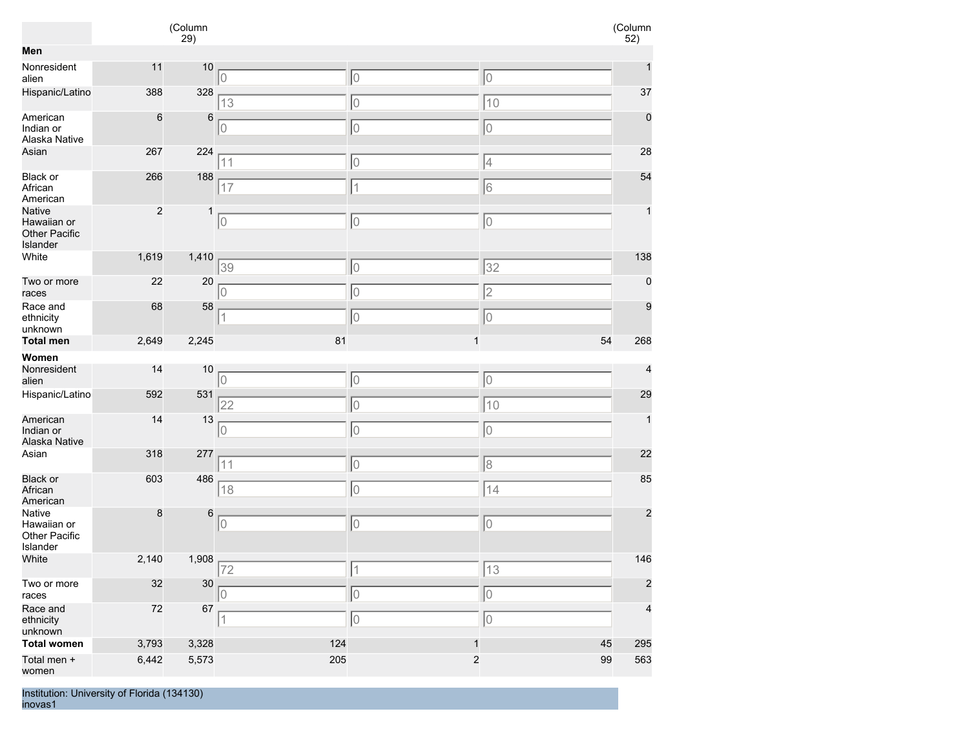|                                                    |                | (Column<br>29) |                |                |             | $\begin{array}{c} \text{(Column } 52) \\ \text{ } \end{array}$ |
|----------------------------------------------------|----------------|----------------|----------------|----------------|-------------|----------------------------------------------------------------|
| Men                                                |                |                |                |                |             |                                                                |
| Nonresident<br>alien                               | 11             | 10             | 10             | 10             | 10          | 1                                                              |
| Hispanic/Latino                                    | 388            | 328            | 13             | $\mathbf 0$    | 10          | 37                                                             |
| American<br>Indian or<br>Alaska Native             | 6              | $\,$ 6         | $\overline{0}$ | $\hbox{O}$     | 10          | $\mathbf 0$                                                    |
| Asian                                              | 267            | 224            | 11             | 0              | 4           | 28                                                             |
| Black or<br>African<br>American                    | 266            | 188            | 17             | $\overline{1}$ | 6           | 54                                                             |
| Native<br>Hawaiian or<br>Other Pacific<br>Islander | $\overline{c}$ | 1              | 10             | 10             | 10          | 1                                                              |
| White                                              | 1,619          | 1,410          | 39             | 0              | 32          | 138                                                            |
| Two or more<br>races                               | 22             | 20             | 10             | 0              | 2           | $\pmb{0}$                                                      |
| Race and<br>ethnicity<br>unknown                   | 68             | 58             | $\vert$ 1      | 0              | 10          | $\boldsymbol{9}$                                               |
| <b>Total men</b>                                   | 2,649          | 2,245          | 81             | $\mathbf 1$    | 54          | 268                                                            |
| Women                                              |                |                |                |                |             |                                                                |
| Nonresident<br>alien                               | 14             | 10             | 10             | 10             | 10          | $\overline{\mathbf{4}}$                                        |
| Hispanic/Latino                                    | 592            | 531            | 22             | 0              | 10          | 29                                                             |
| American<br>Indian or<br>Alaska Native             | 14             | 13             | 0              | 0              | 10          | $\mathbf{1}$                                                   |
| Asian                                              | 318            | 277            | 11             | 0              | 8           | 22                                                             |
| <b>Black or</b><br>African<br>American             | 603            | 486            | 18             | 10             | 14          | 85                                                             |
| Native<br>Hawaiian or<br>Other Pacific<br>Islander | 8              | 6              | 0              | $\mathbf 0$    | 10          | $\overline{c}$                                                 |
| White                                              | 2,140          | 1,908          | $\sqrt{72}$    | $\sqrt{1}$     | $\sqrt{13}$ | 146                                                            |
| Two or more<br>races                               | 32             | 30             |                | 0              | 10          | $\overline{\mathbf{c}}$                                        |
| Race and<br>ethnicity<br>unknown                   | 72             | 67             | 1              | 10             | 10          | 4                                                              |
| <b>Total women</b>                                 | 3,793          | 3,328          | 124            | $\mathbf{1}$   | 45          | 295                                                            |
| Total men +<br>women                               | 6,442          | 5,573          | 205            | $\overline{c}$ | 99          | 563                                                            |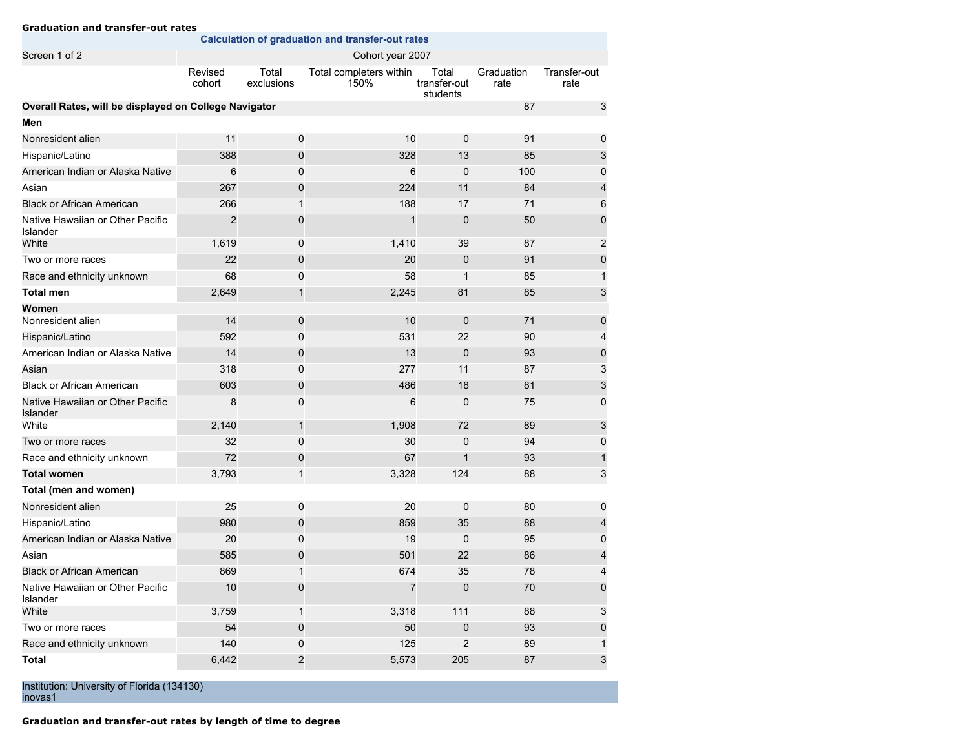| <b>Graduation and transfer-out rates</b>                     |                                                         |                     |                                 |                                   |                    |                         |  |
|--------------------------------------------------------------|---------------------------------------------------------|---------------------|---------------------------------|-----------------------------------|--------------------|-------------------------|--|
|                                                              | <b>Calculation of graduation and transfer-out rates</b> |                     |                                 |                                   |                    |                         |  |
| Screen 1 of 2                                                |                                                         |                     | Cohort year 2007                |                                   |                    |                         |  |
|                                                              | Revised<br>cohort                                       | Total<br>exclusions | Total completers within<br>150% | Total<br>transfer-out<br>students | Graduation<br>rate | Transfer-out<br>rate    |  |
| Overall Rates, will be displayed on College Navigator        |                                                         |                     |                                 |                                   | 87                 | 3                       |  |
| Men                                                          |                                                         |                     |                                 |                                   |                    |                         |  |
| Nonresident alien                                            | 11                                                      | 0                   | 10                              | $\mathbf 0$                       | 91                 | 0                       |  |
| Hispanic/Latino                                              | 388                                                     | 0                   | 328                             | 13                                | 85                 | 3                       |  |
| American Indian or Alaska Native                             | 6                                                       | 0                   | 6                               | $\mathbf 0$                       | 100                | $\mathbf 0$             |  |
| Asian                                                        | 267                                                     | 0                   | 224                             | 11                                | 84                 | $\overline{\mathbf{4}}$ |  |
| <b>Black or African American</b>                             | 266                                                     | $\mathbf{1}$        | 188                             | 17                                | 71                 | 6                       |  |
| Native Hawaiian or Other Pacific<br>Islander                 | $\overline{2}$                                          | 0                   | 1                               | 0                                 | 50                 | 0                       |  |
| White                                                        | 1,619                                                   | 0                   | 1,410                           | 39                                | 87                 | $\overline{2}$          |  |
| Two or more races                                            | 22                                                      | 0                   | 20                              | $\mathbf 0$                       | 91                 | $\pmb{0}$               |  |
| Race and ethnicity unknown                                   | 68                                                      | 0                   | 58                              | $\mathbf 1$                       | 85                 | 1                       |  |
| <b>Total men</b>                                             | 2,649                                                   | $\mathbf{1}$        | 2,245                           | 81                                | 85                 | 3                       |  |
| Women                                                        |                                                         |                     |                                 |                                   |                    |                         |  |
| Nonresident alien                                            | 14                                                      | $\mathbf 0$         | 10                              | $\mathbf 0$                       | 71                 | 0                       |  |
| Hispanic/Latino                                              | 592                                                     | 0                   | 531                             | 22                                | 90                 | 4                       |  |
| American Indian or Alaska Native                             | 14                                                      | 0                   | 13                              | $\mathbf 0$                       | 93                 | $\pmb{0}$               |  |
| Asian                                                        | 318                                                     | 0                   | 277                             | 11                                | 87                 | 3                       |  |
| <b>Black or African American</b>                             | 603                                                     | 0                   | 486                             | 18                                | 81                 | 3                       |  |
| Native Hawaiian or Other Pacific<br>Islander<br>White        | 8<br>2,140                                              | 0<br>1              | 6<br>1,908                      | $\mathbf 0$<br>72                 | 75<br>89           | $\mathbf 0$<br>3        |  |
|                                                              | 32                                                      | 0                   | 30                              | $\mathbf 0$                       | 94                 | 0                       |  |
| Two or more races<br>Race and ethnicity unknown              | 72                                                      | 0                   | 67                              | 1                                 | 93                 | $\mathbf{1}$            |  |
|                                                              |                                                         |                     |                                 | 124                               | 88                 |                         |  |
| <b>Total women</b>                                           | 3,793                                                   | 1                   | 3,328                           |                                   |                    | 3                       |  |
| Total (men and women)<br>Nonresident alien                   | 25                                                      | 0                   | 20                              | $\mathbf 0$                       | 80                 | 0                       |  |
| Hispanic/Latino                                              | 980                                                     |                     | 859                             | 35                                | 88                 | 4                       |  |
| American Indian or Alaska Native                             | 20                                                      | 0<br>0              | 19                              | 0                                 | 95                 | 0                       |  |
| Asian                                                        | 585                                                     | 0                   | 501                             | 22                                | 86                 | 4                       |  |
|                                                              | 869                                                     |                     | 674                             | 35                                | 78                 |                         |  |
| Black or African American                                    |                                                         | 1                   |                                 |                                   |                    |                         |  |
| Native Hawaiian or Other Pacific<br><b>Islander</b><br>White | 10<br>3,759                                             | 0<br>1              | 7<br>3,318                      | 0<br>111                          | 70<br>88           | 0<br>3                  |  |
| Two or more races                                            |                                                         |                     |                                 |                                   |                    |                         |  |
|                                                              | 54                                                      | 0                   | 50                              | $\mathbf 0$                       | 93                 | 0                       |  |
| Race and ethnicity unknown                                   | 140                                                     | 0                   | 125                             | $\overline{2}$                    | 89                 | 1                       |  |
| <b>Total</b>                                                 | 6,442                                                   | $\overline{c}$      | 5,573                           | 205                               | 87                 | 3                       |  |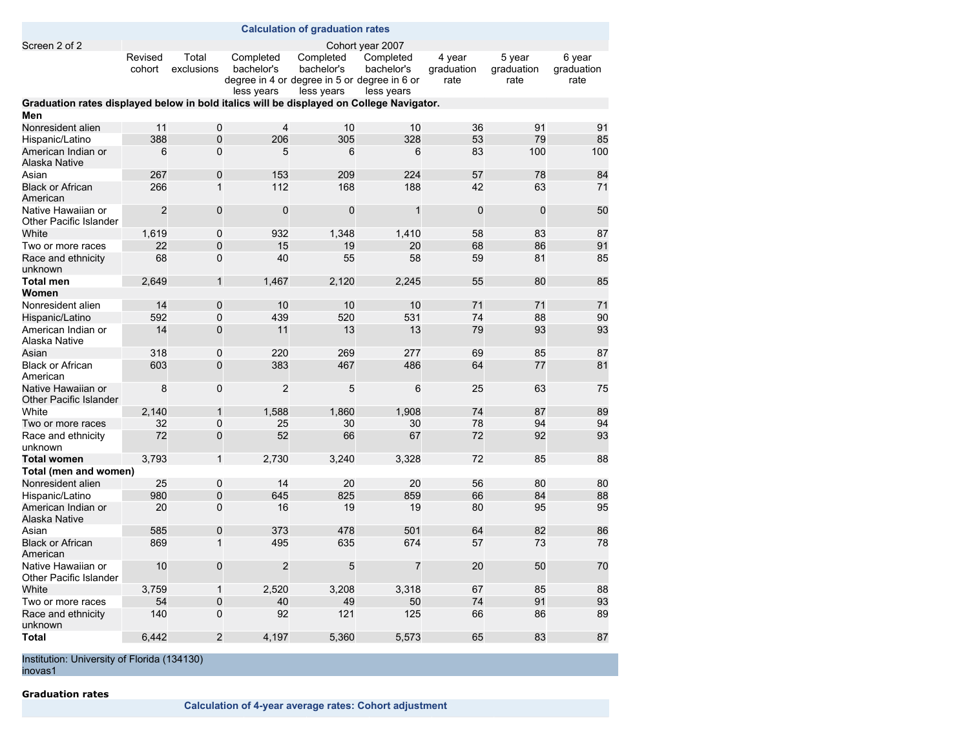|                                                                                          |                   |                     |                                                                                       | <b>Calculation of graduation rates</b> |                                       |                              |                              |                              |
|------------------------------------------------------------------------------------------|-------------------|---------------------|---------------------------------------------------------------------------------------|----------------------------------------|---------------------------------------|------------------------------|------------------------------|------------------------------|
| Screen 2 of 2                                                                            |                   |                     |                                                                                       |                                        | Cohort year 2007                      |                              |                              |                              |
|                                                                                          | Revised<br>cohort | Total<br>exclusions | Completed<br>bachelor's<br>degree in 4 or degree in 5 or degree in 6 or<br>less years | Completed<br>bachelor's<br>less years  | Completed<br>bachelor's<br>less years | 4 year<br>graduation<br>rate | 5 year<br>graduation<br>rate | 6 year<br>graduation<br>rate |
| Graduation rates displayed below in bold italics will be displayed on College Navigator. |                   |                     |                                                                                       |                                        |                                       |                              |                              |                              |
| Men                                                                                      |                   |                     |                                                                                       |                                        |                                       |                              |                              |                              |
| Nonresident alien                                                                        | 11                | 0                   | $\overline{4}$                                                                        | 10                                     | 10                                    | 36                           | 91                           | 91                           |
| Hispanic/Latino                                                                          | 388               | $\mathbf 0$         | 206                                                                                   | 305                                    | 328                                   | 53                           | 79                           | 85                           |
| American Indian or<br>Alaska Native                                                      | 6                 | $\mathbf 0$         | 5                                                                                     | 6                                      | 6                                     | 83                           | 100                          | 100                          |
| Asian                                                                                    | 267               | $\mathbf 0$         | 153                                                                                   | 209                                    | 224                                   | 57                           | 78                           | 84                           |
| <b>Black or African</b><br>American                                                      | 266               | $\mathbf{1}$        | 112                                                                                   | 168                                    | 188                                   | 42                           | 63                           | 71                           |
| Native Hawaiian or<br>Other Pacific Islander                                             | $\overline{2}$    | $\mathbf 0$         | $\mathbf 0$                                                                           | $\mathbf 0$                            | $\mathbf{1}$                          | $\mathbf 0$                  | $\mathbf 0$                  | 50                           |
| White                                                                                    | 1,619             | 0                   | 932                                                                                   | 1,348                                  | 1,410                                 | 58                           | 83                           | 87                           |
| Two or more races                                                                        | 22                | $\mathbf 0$         | 15                                                                                    | 19                                     | 20                                    | 68                           | 86                           | 91                           |
| Race and ethnicity<br>unknown                                                            | 68                | $\mathbf{0}$        | 40                                                                                    | 55                                     | 58                                    | 59                           | 81                           | 85                           |
| <b>Total men</b>                                                                         | 2,649             | $\mathbf{1}$        | 1.467                                                                                 | 2,120                                  | 2,245                                 | 55                           | 80                           | 85                           |
| Women                                                                                    |                   |                     |                                                                                       |                                        |                                       |                              |                              |                              |
| Nonresident alien                                                                        | 14                | $\mathbf 0$         | 10                                                                                    | 10                                     | 10                                    | 71                           | 71                           | 71                           |
| Hispanic/Latino                                                                          | 592               | 0                   | 439                                                                                   | 520                                    | 531                                   | 74                           | 88                           | 90                           |
| American Indian or<br>Alaska Native                                                      | 14                | $\mathbf 0$         | 11                                                                                    | 13                                     | 13                                    | 79                           | 93                           | 93                           |
| Asian                                                                                    | 318               | $\mathbf 0$         | 220                                                                                   | 269                                    | 277                                   | 69                           | 85                           | 87                           |
| <b>Black or African</b><br>American                                                      | 603               | $\mathbf 0$         | 383                                                                                   | 467                                    | 486                                   | 64                           | 77                           | 81                           |
| Native Hawaiian or<br>Other Pacific Islander                                             | 8                 | $\mathbf 0$         | $\overline{2}$                                                                        | 5                                      | 6                                     | 25                           | 63                           | 75                           |
| White                                                                                    | 2,140             | 1                   | 1,588                                                                                 | 1,860                                  | 1,908                                 | 74                           | 87                           | 89                           |
| Two or more races                                                                        | 32                | $\mathbf 0$         | 25                                                                                    | 30                                     | 30                                    | 78                           | 94                           | 94                           |
| Race and ethnicity<br>unknown                                                            | 72                | $\mathbf 0$         | 52                                                                                    | 66                                     | 67                                    | 72                           | 92                           | 93                           |
| Total women                                                                              | 3,793             | 1                   | 2,730                                                                                 | 3,240                                  | 3,328                                 | 72                           | 85                           | 88                           |
| Total (men and women)                                                                    |                   |                     |                                                                                       |                                        |                                       |                              |                              |                              |
| Nonresident alien                                                                        | 25                | $\mathbf 0$         | 14                                                                                    | 20                                     | 20                                    | 56                           | 80                           | 80                           |
| Hispanic/Latino                                                                          | 980               | $\mathbf 0$         | 645                                                                                   | 825                                    | 859                                   | 66                           | 84                           | 88                           |
| American Indian or<br>Alaska Native                                                      | 20                | $\mathbf 0$         | 16                                                                                    | 19                                     | 19                                    | 80                           | 95                           | 95                           |
| Asian                                                                                    | 585               | $\mathbf 0$         | 373                                                                                   | 478                                    | 501                                   | 64                           | 82                           | 86                           |
| <b>Black or African</b><br>American                                                      | 869               | 1                   | 495                                                                                   | 635                                    | 674                                   | 57                           | 73                           | 78                           |
| Native Hawaiian or<br>Other Pacific Islander                                             | 10                | $\mathbf 0$         | $\overline{2}$                                                                        | 5                                      | $\overline{7}$                        | 20                           | 50                           | 70                           |
| White                                                                                    | 3,759             | $\mathbf{1}$        | 2,520                                                                                 | 3,208                                  | 3,318                                 | 67                           | 85                           | 88                           |
| Two or more races                                                                        | 54                | $\mathbf 0$         | 40                                                                                    | 49                                     | 50                                    | 74                           | 91                           | 93                           |
| Race and ethnicity<br>unknown                                                            | 140               | $\mathbf 0$         | 92                                                                                    | 121                                    | 125                                   | 66                           | 86                           | 89                           |
| <b>Total</b>                                                                             | 6,442             | $\overline{2}$      | 4,197                                                                                 | 5,360                                  | 5,573                                 | 65                           | 83                           | 87                           |
|                                                                                          |                   |                     |                                                                                       |                                        |                                       |                              |                              |                              |

#### **Graduation rates**

**Calculation of 4-year average rates: Cohort adjustment**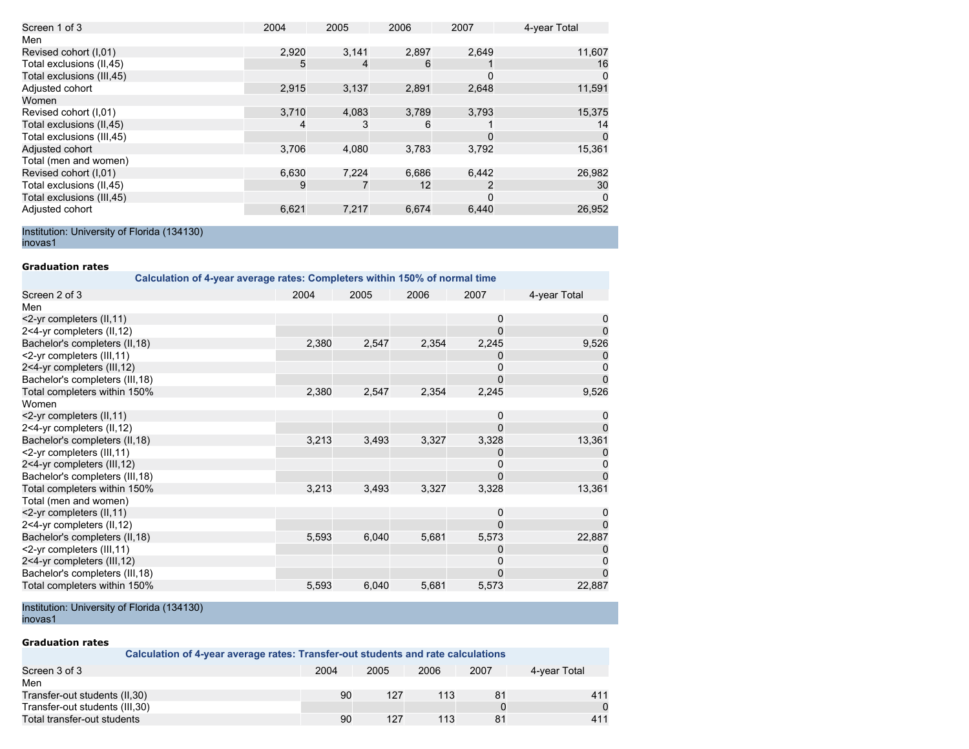| Screen 1 of 3              | 2004  | 2005  | 2006  | 2007          | 4-year Total |
|----------------------------|-------|-------|-------|---------------|--------------|
| Men                        |       |       |       |               |              |
| Revised cohort (I,01)      | 2,920 | 3,141 | 2,897 | 2,649         | 11,607       |
| Total exclusions (II,45)   | 5     | 4     | 6     |               | 16           |
| Total exclusions (III, 45) |       |       |       |               | 0            |
| Adjusted cohort            | 2.915 | 3,137 | 2.891 | 2,648         | 11,591       |
| Women                      |       |       |       |               |              |
| Revised cohort (I,01)      | 3,710 | 4,083 | 3,789 | 3,793         | 15,375       |
| Total exclusions (II,45)   | 4     |       | 6     |               | 14           |
| Total exclusions (III, 45) |       |       |       |               | $\Omega$     |
| Adjusted cohort            | 3.706 | 4,080 | 3,783 | 3,792         | 15,361       |
| Total (men and women)      |       |       |       |               |              |
| Revised cohort (I,01)      | 6,630 | 7.224 | 6,686 | 6,442         | 26,982       |
| Total exclusions (II,45)   | 9     |       | 12    | $\mathcal{P}$ | 30           |
| Total exclusions (III, 45) |       |       |       |               | 0            |
| Adjusted cohort            | 6.621 | 7.217 | 6,674 | 6,440         | 26.952       |

# **Graduation rates**

| Calculation of 4-year average rates: Completers within 150% of normal time |       |       |       |             |              |
|----------------------------------------------------------------------------|-------|-------|-------|-------------|--------------|
| Screen 2 of 3                                                              | 2004  | 2005  | 2006  | 2007        | 4-year Total |
| Men                                                                        |       |       |       |             |              |
| <2-yr completers (II, 11)                                                  |       |       |       | 0           |              |
| 2<4-yr completers (II,12)                                                  |       |       |       | $\mathbf 0$ |              |
| Bachelor's completers (II, 18)                                             | 2,380 | 2,547 | 2,354 | 2,245       | 9,526        |
| <2-yr completers (III, 11)                                                 |       |       |       | 0           |              |
| 2<4-yr completers (III, 12)                                                |       |       |       | $\mathbf 0$ |              |
| Bachelor's completers (III, 18)                                            |       |       |       | $\mathbf 0$ |              |
| Total completers within 150%                                               | 2,380 | 2,547 | 2,354 | 2,245       | 9,526        |
| Women                                                                      |       |       |       |             |              |
| <2-yr completers (II, 11)                                                  |       |       |       | 0           |              |
| 2<4-yr completers (II,12)                                                  |       |       |       | $\mathbf 0$ |              |
| Bachelor's completers (II,18)                                              | 3,213 | 3,493 | 3,327 | 3,328       | 13,361       |
| <2-yr completers (III, 11)                                                 |       |       |       | 0           |              |
| 2<4-yr completers (III,12)                                                 |       |       |       | 0           |              |
| Bachelor's completers (III, 18)                                            |       |       |       | $\mathbf 0$ |              |
| Total completers within 150%                                               | 3,213 | 3,493 | 3,327 | 3,328       | 13,361       |
| Total (men and women)                                                      |       |       |       |             |              |
| <2-yr completers (II,11)                                                   |       |       |       | 0           |              |
| 2<4-yr completers (II,12)                                                  |       |       |       | $\Omega$    |              |
| Bachelor's completers (II, 18)                                             | 5,593 | 6,040 | 5,681 | 5,573       | 22,887       |
| <2-yr completers (III, 11)                                                 |       |       |       | 0           |              |
| 2<4-yr completers (III,12)                                                 |       |       |       | 0           |              |
| Bachelor's completers (III, 18)                                            |       |       |       | $\mathbf 0$ |              |
| Total completers within 150%                                               | 5,593 | 6,040 | 5,681 | 5,573       | 22,887       |

Institution: University of Florida (134130) inovas1

# **Graduation rates**

| Calculation of 4-year average rates: Transfer-out students and rate calculations |      |      |      |      |              |
|----------------------------------------------------------------------------------|------|------|------|------|--------------|
| Screen 3 of 3                                                                    | 2004 | 2005 | 2006 | 2007 | 4-year Total |
| Men                                                                              |      |      |      |      |              |
| Transfer-out students (II,30)                                                    | 90   | 127  | 113  | 81   | 411          |
| Transfer-out students (III, 30)                                                  |      |      |      |      | $\Omega$     |
| Total transfer-out students                                                      | 90   | 127  | 113  | 81   | 411          |